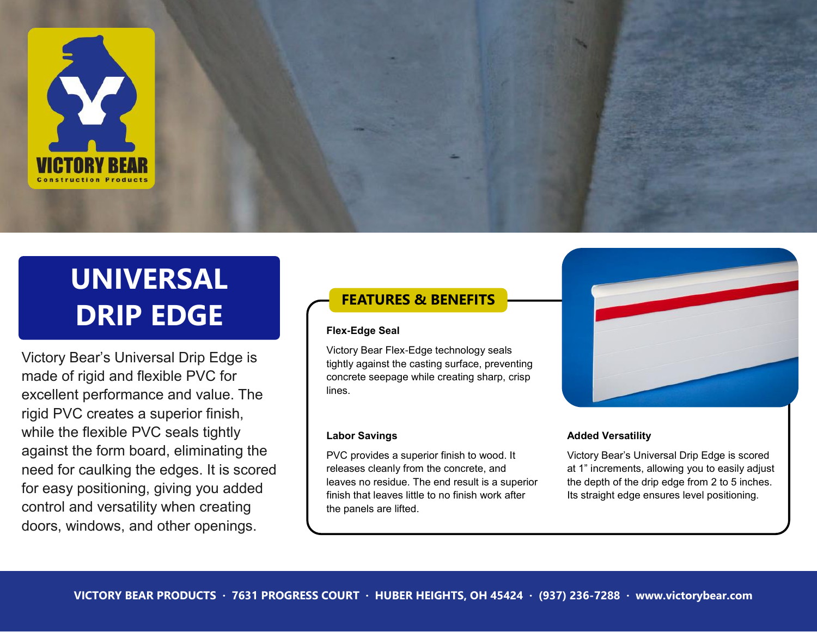

# **UNIVERSAL DRIP EDGE**

Victory Bear's Universal Drip Edge is made of rigid and flexible PVC for excellent performance and value. The rigid PVC creates a superior finish, while the flexible PVC seals tightly against the form board, eliminating the need for caulking the edges. It is scored for easy positioning, giving you added control and versatility when creating doors, windows, and other openings.

### **FEATURES & BENEFITS**

#### **Flex-Edge Seal**

Victory Bear Flex-Edge technology seals tightly against the casting surface, preventing concrete seepage while creating sharp, crisp lines.

#### **Labor Savings**

PVC provides a superior finish to wood. It releases cleanly from the concrete, and leaves no residue. The end result is a superior finish that leaves little to no finish work after the panels are lifted.



#### **Added Versatility**

Victory Bear's Universal Drip Edge is scored at 1" increments, allowing you to easily adjust the depth of the drip edge from 2 to 5 inches. Its straight edge ensures level positioning.